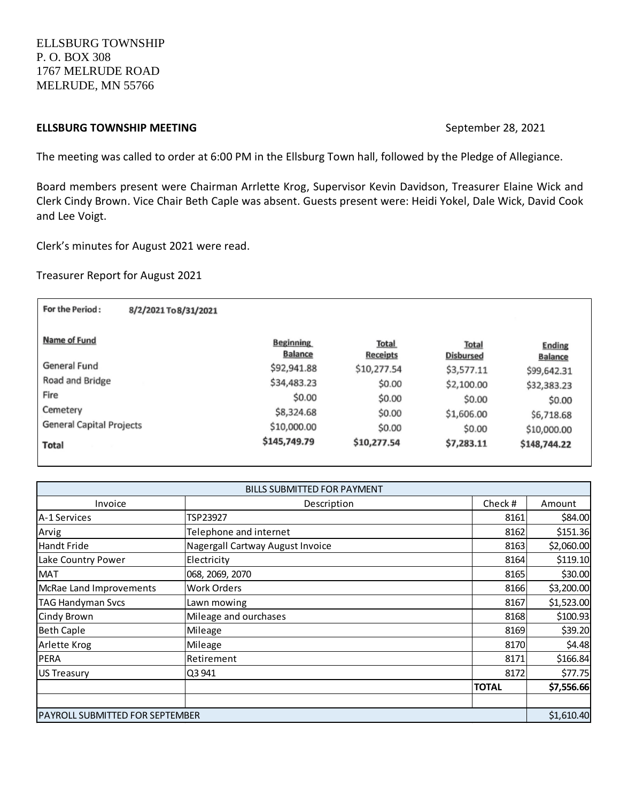ELLSBURG TOWNSHIP P. O. BOX 308 1767 MELRUDE ROAD MELRUDE, MN 55766

# **ELLSBURG TOWNSHIP MEETING September 28, 2021**

The meeting was called to order at 6:00 PM in the Ellsburg Town hall, followed by the Pledge of Allegiance.

Board members present were Chairman Arrlette Krog, Supervisor Kevin Davidson, Treasurer Elaine Wick and Clerk Cindy Brown. Vice Chair Beth Caple was absent. Guests present were: Heidi Yokel, Dale Wick, David Cook and Lee Voigt.

Clerk's minutes for August 2021 were read.

Treasurer Report for August 2021

| For the Period:<br>8/2/2021 To 8/31/2021 |                                    |                          |                           |                                 |
|------------------------------------------|------------------------------------|--------------------------|---------------------------|---------------------------------|
| Name of Fund                             | <b>Beginning</b><br><b>Balance</b> | <b>Total</b><br>Receipts | Total<br><b>Disbursed</b> | <b>Ending</b><br><b>Balance</b> |
| General Fund                             | \$92,941.88                        | \$10,277.54              | \$3,577.11                | \$99,642.31                     |
| Road and Bridge                          | \$34,483.23                        | \$0.00                   | \$2,100.00                | \$32,383.23                     |
| Fire                                     | \$0.00                             | \$0.00                   | \$0.00                    | \$0.00                          |
| Cemetery                                 | \$8,324.68                         | \$0.00                   | \$1,606.00                | \$6,718.68                      |
| <b>General Capital Projects</b>          | \$10,000.00                        | \$0.00                   | \$0.00                    | \$10,000.00                     |
| Total                                    | \$145,749.79                       | \$10,277.54              | \$7,283.11                | \$148,744.22                    |

| <b>BILLS SUBMITTED FOR PAYMENT</b>      |                                  |              |            |  |  |
|-----------------------------------------|----------------------------------|--------------|------------|--|--|
| Invoice                                 | Description                      | Check#       | Amount     |  |  |
| lA-1 Services                           | TSP23927                         | 8161         | \$84.00    |  |  |
| Arvig                                   | Telephone and internet           | 8162         | \$151.36   |  |  |
| <b>Handt Fride</b>                      | Nagergall Cartway August Invoice | 8163         | \$2,060.00 |  |  |
| Lake Country Power                      | Electricity                      | 8164         | \$119.10   |  |  |
| <b>MAT</b>                              | 068, 2069, 2070                  | 8165         | \$30.00    |  |  |
| McRae Land Improvements                 | <b>Work Orders</b>               | 8166         | \$3,200.00 |  |  |
| <b>TAG Handyman Svcs</b>                | Lawn mowing                      | 8167         | \$1,523.00 |  |  |
| Cindy Brown                             | Mileage and ourchases            | 8168         | \$100.93   |  |  |
| <b>Beth Caple</b>                       | Mileage                          | 8169         | \$39.20    |  |  |
| Arlette Krog                            | Mileage                          | 8170         | \$4.48     |  |  |
| <b>PERA</b>                             | Retirement                       | 8171         | \$166.84   |  |  |
| <b>US Treasury</b>                      | Q3 941                           | 8172         | \$77.75    |  |  |
|                                         |                                  | <b>TOTAL</b> | \$7,556.66 |  |  |
|                                         |                                  |              |            |  |  |
| <b>IPAYROLL SUBMITTED FOR SEPTEMBER</b> |                                  |              | \$1,610.40 |  |  |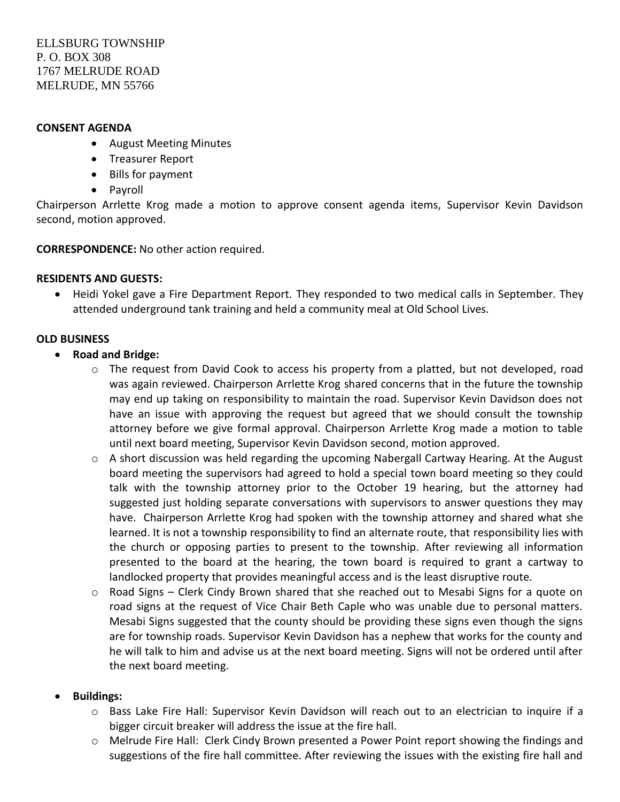### **CONSENT AGENDA**

- August Meeting Minutes
- Treasurer Report
- Bills for payment
- Payroll

Chairperson Arrlette Krog made a motion to approve consent agenda items, Supervisor Kevin Davidson second, motion approved.

**CORRESPONDENCE:** No other action required.

### **RESIDENTS AND GUESTS:**

 Heidi Yokel gave a Fire Department Report. They responded to two medical calls in September. They attended underground tank training and held a community meal at Old School Lives.

### **OLD BUSINESS**

- **Road and Bridge:** 
	- $\circ$  The request from David Cook to access his property from a platted, but not developed, road was again reviewed. Chairperson Arrlette Krog shared concerns that in the future the township may end up taking on responsibility to maintain the road. Supervisor Kevin Davidson does not have an issue with approving the request but agreed that we should consult the township attorney before we give formal approval. Chairperson Arrlette Krog made a motion to table until next board meeting, Supervisor Kevin Davidson second, motion approved.
	- $\circ$  A short discussion was held regarding the upcoming Nabergall Cartway Hearing. At the August board meeting the supervisors had agreed to hold a special town board meeting so they could talk with the township attorney prior to the October 19 hearing, but the attorney had suggested just holding separate conversations with supervisors to answer questions they may have. Chairperson Arrlette Krog had spoken with the township attorney and shared what she learned. It is not a township responsibility to find an alternate route, that responsibility lies with the church or opposing parties to present to the township. After reviewing all information presented to the board at the hearing, the town board is required to grant a cartway to landlocked property that provides meaningful access and is the least disruptive route.
	- o Road Signs Clerk Cindy Brown shared that she reached out to Mesabi Signs for a quote on road signs at the request of Vice Chair Beth Caple who was unable due to personal matters. Mesabi Signs suggested that the county should be providing these signs even though the signs are for township roads. Supervisor Kevin Davidson has a nephew that works for the county and he will talk to him and advise us at the next board meeting. Signs will not be ordered until after the next board meeting.
- **Buildings:**
	- o Bass Lake Fire Hall: Supervisor Kevin Davidson will reach out to an electrician to inquire if a bigger circuit breaker will address the issue at the fire hall.
	- o Melrude Fire Hall: Clerk Cindy Brown presented a Power Point report showing the findings and suggestions of the fire hall committee. After reviewing the issues with the existing fire hall and